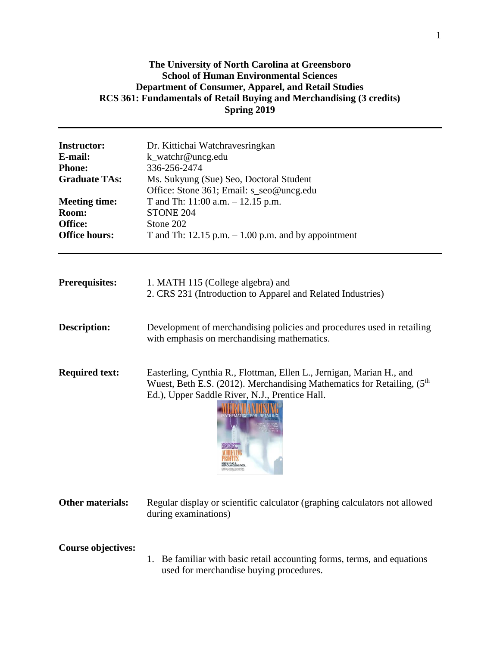# **The University of North Carolina at Greensboro School of Human Environmental Sciences Department of Consumer, Apparel, and Retail Studies RCS 361: Fundamentals of Retail Buying and Merchandising (3 credits) Spring 2019**

| <b>Instructor:</b><br>E-mail:<br><b>Phone:</b><br><b>Graduate TAs:</b><br><b>Meeting time:</b><br>Room:<br>Office:<br><b>Office hours:</b> | Dr. Kittichai Watchravesringkan<br>k_watchr@uncg.edu<br>336-256-2474<br>Ms. Sukyung (Sue) Seo, Doctoral Student<br>Office: Stone 361; Email: s_seo@uncg.edu<br>T and Th: $11:00$ a.m. $-12.15$ p.m.<br>STONE 204<br>Stone 202<br>T and Th: 12.15 p.m. $-1.00$ p.m. and by appointment |  |  |
|--------------------------------------------------------------------------------------------------------------------------------------------|---------------------------------------------------------------------------------------------------------------------------------------------------------------------------------------------------------------------------------------------------------------------------------------|--|--|
| <b>Prerequisites:</b>                                                                                                                      | 1. MATH 115 (College algebra) and                                                                                                                                                                                                                                                     |  |  |
|                                                                                                                                            | 2. CRS 231 (Introduction to Apparel and Related Industries)                                                                                                                                                                                                                           |  |  |
| <b>Description:</b>                                                                                                                        | Development of merchandising policies and procedures used in retailing<br>with emphasis on merchandising mathematics.                                                                                                                                                                 |  |  |
| <b>Required text:</b>                                                                                                                      | Easterling, Cynthia R., Flottman, Ellen L., Jernigan, Marian H., and<br>Wuest, Beth E.S. (2012). Merchandising Mathematics for Retailing, $(5th$<br>Ed.), Upper Saddle River, N.J., Prentice Hall.<br><b>THEMATICS FOR</b>                                                            |  |  |

**Other materials:** Regular display or scientific calculator (graphing calculators not allowed during examinations)

**Course objectives:**

1. Be familiar with basic retail accounting forms, terms, and equations used for merchandise buying procedures.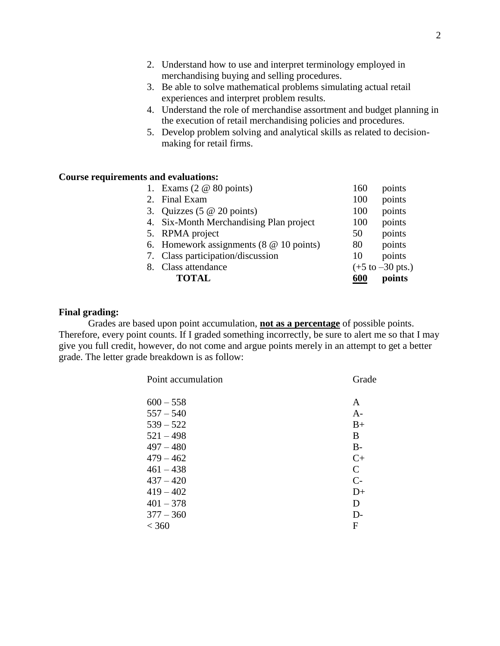- 2. Understand how to use and interpret terminology employed in merchandising buying and selling procedures.
- 3. Be able to solve mathematical problems simulating actual retail experiences and interpret problem results.
- 4. Understand the role of merchandise assortment and budget planning in the execution of retail merchandising policies and procedures.
- 5. Develop problem solving and analytical skills as related to decisionmaking for retail firms.

### **Course requirements and evaluations:**

| 1. Exams $(2 \otimes 80 \text{ points})$       | 160 | points                              |
|------------------------------------------------|-----|-------------------------------------|
| 2. Final Exam                                  | 100 | points                              |
| 3. Quizzes $(5 \t@ 20 \t points)$              | 100 | points                              |
| 4. Six-Month Merchandising Plan project        | 100 | points                              |
| 5. RPMA project                                | 50  | points                              |
| 6. Homework assignments $(8 \t@ 10 \t points)$ | 80  | points                              |
| 7. Class participation/discussion              | 10  | points                              |
| 8. Class attendance                            |     | $(+5 \text{ to } -30 \text{ pts.})$ |
| <b>TOTAL</b>                                   | 600 | points                              |

#### **Final grading:**

Grades are based upon point accumulation, **not as a percentage** of possible points. Therefore, every point counts. If I graded something incorrectly, be sure to alert me so that I may give you full credit, however, do not come and argue points merely in an attempt to get a better grade. The letter grade breakdown is as follow:

| Point accumulation | Grade        |
|--------------------|--------------|
| $600 - 558$        | A            |
| $557 - 540$        | $A-$         |
| $539 - 522$        | $B+$         |
| $521 - 498$        | B            |
| $497 - 480$        | $B -$        |
| $479 - 462$        | $C+$         |
| $461 - 438$        | $\mathsf{C}$ |
| $437 - 420$        | $C-$         |
| $419 - 402$        | $D+$         |
| $401 - 378$        | D            |
| $377 - 360$        | $D-$         |
| < 360              | F            |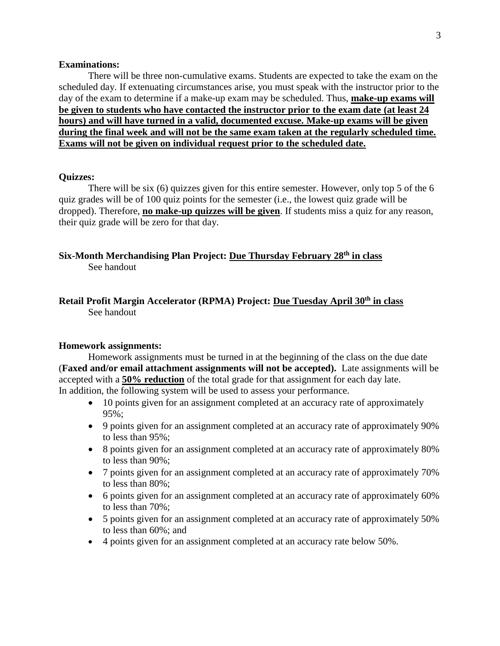#### **Examinations:**

There will be three non-cumulative exams. Students are expected to take the exam on the scheduled day. If extenuating circumstances arise, you must speak with the instructor prior to the day of the exam to determine if a make-up exam may be scheduled. Thus, **make-up exams will be given to students who have contacted the instructor prior to the exam date (at least 24 hours) and will have turned in a valid, documented excuse. Make-up exams will be given during the final week and will not be the same exam taken at the regularly scheduled time. Exams will not be given on individual request prior to the scheduled date.** 

#### **Quizzes:**

There will be six (6) quizzes given for this entire semester. However, only top 5 of the 6 quiz grades will be of 100 quiz points for the semester (i.e., the lowest quiz grade will be dropped). Therefore, **no make-up quizzes will be given**. If students miss a quiz for any reason, their quiz grade will be zero for that  $\overline{day}$ .

# **Six-Month Merchandising Plan Project: Due Thursday February 28th in class** See handout

# **Retail Profit Margin Accelerator (RPMA) Project: Due Tuesday April 30th in class** See handout

#### **Homework assignments:**

Homework assignments must be turned in at the beginning of the class on the due date (**Faxed and/or email attachment assignments will not be accepted).** Late assignments will be accepted with a **50% reduction** of the total grade for that assignment for each day late. In addition, the following system will be used to assess your performance.

- 10 points given for an assignment completed at an accuracy rate of approximately 95%;
- 9 points given for an assignment completed at an accuracy rate of approximately 90% to less than 95%;
- 8 points given for an assignment completed at an accuracy rate of approximately 80% to less than 90%;
- 7 points given for an assignment completed at an accuracy rate of approximately 70% to less than 80%;
- 6 points given for an assignment completed at an accuracy rate of approximately 60% to less than 70%;
- 5 points given for an assignment completed at an accuracy rate of approximately 50% to less than 60%; and
- 4 points given for an assignment completed at an accuracy rate below 50%.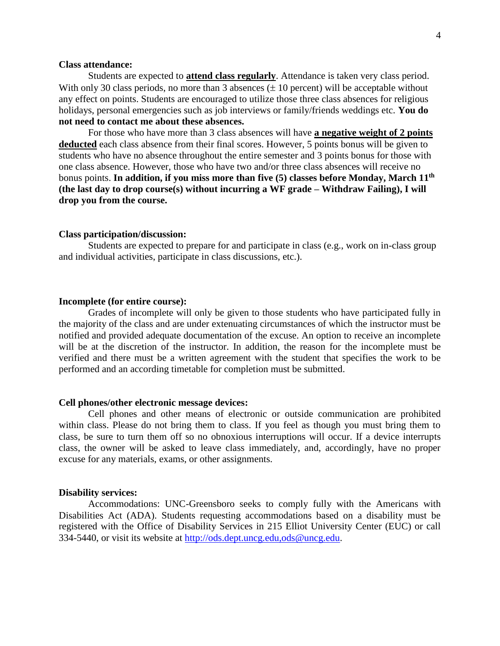## **Class attendance:**

Students are expected to **attend class regularly**. Attendance is taken very class period. With only 30 class periods, no more than 3 absences  $(\pm 10$  percent) will be acceptable without any effect on points. Students are encouraged to utilize those three class absences for religious holidays, personal emergencies such as job interviews or family/friends weddings etc. **You do not need to contact me about these absences.** 

For those who have more than 3 class absences will have **a negative weight of 2 points deducted** each class absence from their final scores. However, 5 points bonus will be given to students who have no absence throughout the entire semester and 3 points bonus for those with one class absence. However, those who have two and/or three class absences will receive no bonus points. **In addition, if you miss more than five (5) classes before Monday, March 11 th (the last day to drop course(s) without incurring a WF grade – Withdraw Failing), I will drop you from the course.**

#### **Class participation/discussion:**

Students are expected to prepare for and participate in class (e.g., work on in-class group and individual activities, participate in class discussions, etc.).

#### **Incomplete (for entire course):**

Grades of incomplete will only be given to those students who have participated fully in the majority of the class and are under extenuating circumstances of which the instructor must be notified and provided adequate documentation of the excuse. An option to receive an incomplete will be at the discretion of the instructor. In addition, the reason for the incomplete must be verified and there must be a written agreement with the student that specifies the work to be performed and an according timetable for completion must be submitted.

#### **Cell phones/other electronic message devices:**

Cell phones and other means of electronic or outside communication are prohibited within class. Please do not bring them to class. If you feel as though you must bring them to class, be sure to turn them off so no obnoxious interruptions will occur. If a device interrupts class, the owner will be asked to leave class immediately, and, accordingly, have no proper excuse for any materials, exams, or other assignments.

#### **Disability services:**

Accommodations: UNC-Greensboro seeks to comply fully with the Americans with Disabilities Act (ADA). Students requesting accommodations based on a disability must be registered with the Office of Disability Services in 215 Elliot University Center (EUC) or call 334-5440, or visit its website at [http://ods.dept.uncg.edu,ods@uncg.edu.](http://ods.dept.uncg.edu,ods@uncg.edu)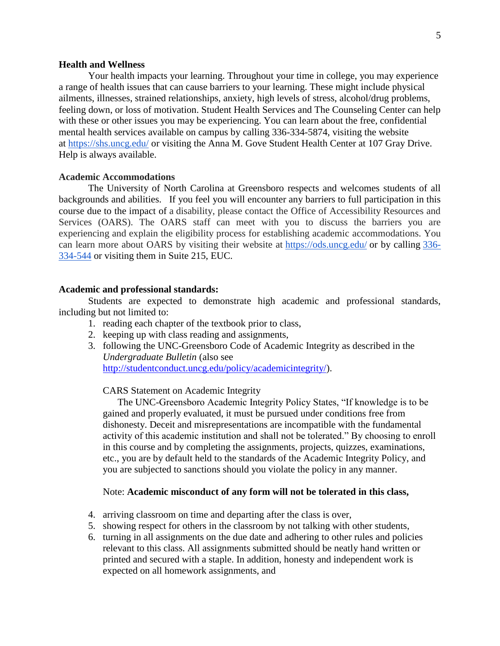#### **Health and Wellness**

Your health impacts your learning. Throughout your time in college, you may experience a range of health issues that can cause barriers to your learning. These might include physical ailments, illnesses, strained relationships, anxiety, high levels of stress, alcohol/drug problems, feeling down, or loss of motivation. Student Health Services and The Counseling Center can help with these or other issues you may be experiencing. You can learn about the free, confidential mental health services available on campus by calling 336-334-5874, visiting the website at <https://shs.uncg.edu/> or visiting the Anna M. Gove Student Health Center at 107 Gray Drive. Help is always available.

#### **Academic Accommodations**

The University of North Carolina at Greensboro respects and welcomes students of all backgrounds and abilities. If you feel you will encounter any barriers to full participation in this course due to the impact of a disability, please contact the Office of Accessibility Resources and Services (OARS). The OARS staff can meet with you to discuss the barriers you are experiencing and explain the eligibility process for establishing academic accommodations. You can learn more about OARS by visiting their website at <https://ods.uncg.edu/> or by calling [336-](tel:336-334-544) [334-544](tel:336-334-544) or visiting them in Suite 215, EUC.

#### **Academic and professional standards:**

Students are expected to demonstrate high academic and professional standards, including but not limited to:

- 1. reading each chapter of the textbook prior to class,
- 2. keeping up with class reading and assignments,
- 3. following the UNC-Greensboro Code of Academic Integrity as described in the *Undergraduate Bulletin* (also see [http://studentconduct.uncg.edu/policy/academicintegrity/\)](http://studentconduct.uncg.edu/policy/academicintegrity/).

#### CARS Statement on Academic Integrity

The UNC-Greensboro Academic Integrity Policy States, "If knowledge is to be gained and properly evaluated, it must be pursued under conditions free from dishonesty. Deceit and misrepresentations are incompatible with the fundamental activity of this academic institution and shall not be tolerated." By choosing to enroll in this course and by completing the assignments, projects, quizzes, examinations, etc., you are by default held to the standards of the Academic Integrity Policy, and you are subjected to sanctions should you violate the policy in any manner.

#### Note: **Academic misconduct of any form will not be tolerated in this class,**

- 4. arriving classroom on time and departing after the class is over,
- 5. showing respect for others in the classroom by not talking with other students,
- 6. turning in all assignments on the due date and adhering to other rules and policies relevant to this class. All assignments submitted should be neatly hand written or printed and secured with a staple. In addition, honesty and independent work is expected on all homework assignments, and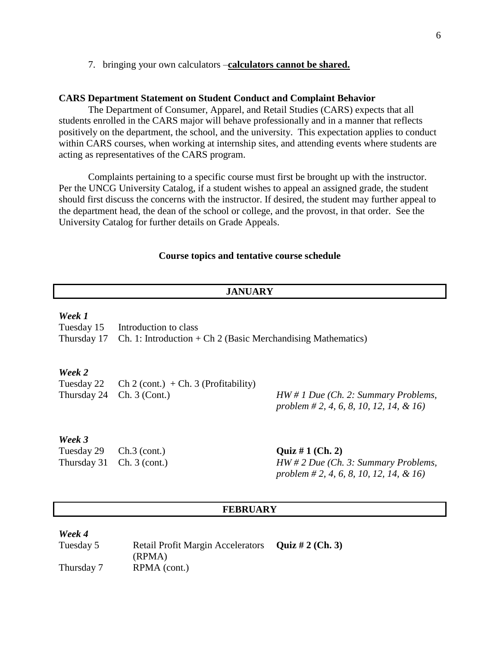#### 7. bringing your own calculators –**calculators cannot be shared.**

#### **CARS Department Statement on Student Conduct and Complaint Behavior**

The Department of Consumer, Apparel, and Retail Studies (CARS) expects that all students enrolled in the CARS major will behave professionally and in a manner that reflects positively on the department, the school, and the university. This expectation applies to conduct within CARS courses, when working at internship sites, and attending events where students are acting as representatives of the CARS program.

Complaints pertaining to a specific course must first be brought up with the instructor. Per the UNCG University Catalog, if a student wishes to appeal an assigned grade, the student should first discuss the concerns with the instructor. If desired, the student may further appeal to the department head, the dean of the school or college, and the provost, in that order. See the University Catalog for further details on Grade Appeals.

#### **Course topics and tentative course schedule**

#### **JANUARY**

#### *Week 1*

Tuesday 15 Introduction to class

Thursday 17 Ch. 1: Introduction  $+$  Ch 2 (Basic Merchandising Mathematics)

### *Week 2*

Tuesday 22 Ch 2 (cont.)  $+$  Ch. 3 (Profitability) Thursday 24 Ch. 3 (Cont.) *HW # 1 Due (Ch. 2: Summary Problems,* 

*problem # 2, 4, 6, 8, 10, 12, 14, & 16)* 

#### *Week 3*

Tuesday 29 Ch.3 (cont.) **Quiz # 1 (Ch. 2)**

Thursday 31 Ch. 3 (cont.) *HW # 2 Due (Ch. 3: Summary Problems, problem # 2, 4, 6, 8, 10, 12, 14, & 16)* 

## **FEBRUARY**

#### *Week 4*

Tuesday 5 Retail Profit Margin Accelerators (RPMA) **Quiz # 2 (Ch. 3)** Thursday 7 RPMA (cont.)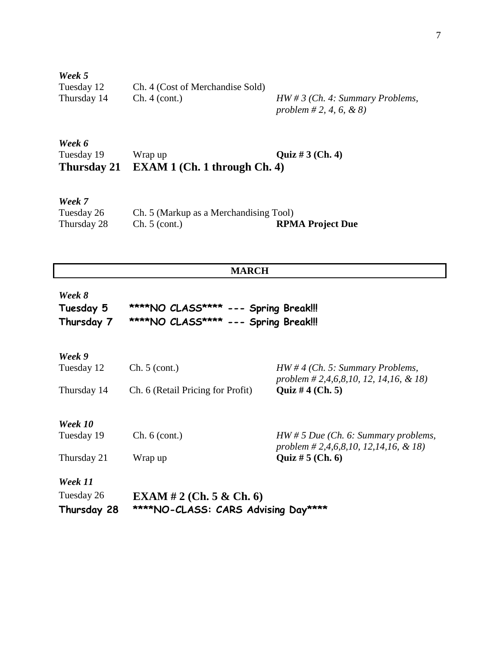*Week 5* Tuesday 12 Ch. 4 (Cost of Merchandise Sold) Thursday 14 Ch. 4 (cont.) *HW # 3 (Ch. 4: Summary Problems,* 

*problem # 2, 4, 6, & 8)*

# *Week 6* Tuesday 19 Wrap up **Quiz # 3 (Ch. 4) Thursday 21 EXAM 1 (Ch. 1 through Ch. 4)**

*Week 7* Tuesday 26 Ch. 5 (Markup as a Merchandising Tool)<br>Thursday 28 Ch. 5 (cont.) RPM **RPMA Project Due** 

# **MARCH**

| Week 8     |                                      |  |  |
|------------|--------------------------------------|--|--|
| Tuesday 5  | ****NO CLASS**** --- Spring Break!!! |  |  |
| Thursday 7 | ****NO CLASS**** --- Spring Break!!! |  |  |

| Week 9      |                                     |                                                                                  |  |
|-------------|-------------------------------------|----------------------------------------------------------------------------------|--|
| Tuesday 12  | Ch. 5 (cont.)                       | $HW \# 4$ (Ch. 5: Summary Problems,<br>problem # 2,4,6,8,10, 12, 14,16, & 18)    |  |
| Thursday 14 | Ch. 6 (Retail Pricing for Profit)   | Quiz # $4$ (Ch. 5)                                                               |  |
| Week 10     |                                     |                                                                                  |  |
| Tuesday 19  | Ch. 6 (cont.)                       | $HW \# 5$ Due (Ch. 6: Summary problems,<br>problem # 2,4,6,8,10, 12,14,16, & 18) |  |
| Thursday 21 | Wrap up                             | Quiz # $5$ (Ch. 6)                                                               |  |
| Week 11     |                                     |                                                                                  |  |
| Tuesday 26  | <b>EXAM</b> # 2 (Ch. 5 & Ch. 6)     |                                                                                  |  |
| Thursday 28 | ****NO-CLASS: CARS Advising Day**** |                                                                                  |  |